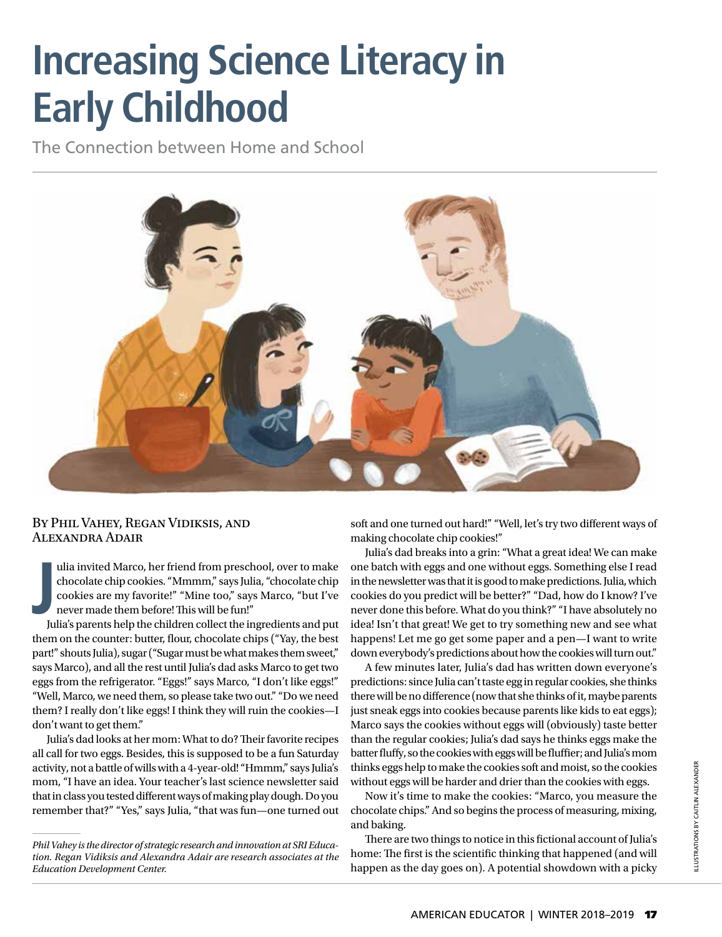# **Increasing Science Literacy in Early Childhood**

The Connection between Home and School



### By Phil Vahey, Regan Vidiksis, and Alexandra Adair

**J** ulia invited Marco, her friend from preschool, over to make chocolate chip cookies. "Mmmm," says Julia, "chocolate chip cookies are my favorite!" "Mine too," says Marco, "but I've never made them before! This will be fun!"

Julia's parents help the children collect the ingredients and put them on the counter: butter, flour, chocolate chips ("Yay, the best part!" shouts Julia), sugar ("Sugar must be what makes them sweet," says Marco), and all the rest until Julia's dad asks Marco to get two eggs from the refrigerator. "Eggs!" says Marco, "I don't like eggs!" "Well, Marco, we need them, so please take two out." "Do we need them? I really don't like eggs! I think they will ruin the cookies—I don't want to get them."

Julia's dad looks at her mom: What to do? Their favorite recipes all call for two eggs. Besides, this is supposed to be a fun Saturday activity, not a battle of wills with a 4-year-old! "Hmmm," says Julia's mom, "I have an idea. Your teacher's last science newsletter said that in class you tested different ways of making play dough. Do you remember that?" "Yes," says Julia, "that was fun—one turned out soft and one turned out hard!" "Well, let's try two different ways of making chocolate chip cookies!"

Julia's dad breaks into a grin: "What a great idea! We can make one batch with eggs and one without eggs. Something else I read in the newsletter was that it is good to make predictions. Julia, which cookies do you predict will be better?" "Dad, how do I know? I've never done this before. What do you think?" "I have absolutely no idea! Isn't that great! We get to try something new and see what happens! Let me go get some paper and a pen—I want to write down everybody's predictions about how the cookies will turn out."

A few minutes later, Julia's dad has written down everyone's predictions: since Julia can't taste egg in regular cookies, she thinks there will be no difference (now that she thinks of it, maybe parents just sneak eggs into cookies because parents like kids to eat eggs); Marco says the cookies without eggs will (obviously) taste better than the regular cookies; Julia's dad says he thinks eggs make the batter fluffy, so the cookies with eggs will be fluffier; and Julia's mom thinks eggs help to make the cookies soft and moist, so the cookies without eggs will be harder and drier than the cookies with eggs.

Now it's time to make the cookies: "Marco, you measure the chocolate chips." And so begins the process of measuring, mixing, and baking.

There are two things to notice in this fictional account of Julia's home: The first is the scientific thinking that happened (and will happen as the day goes on). A potential showdown with a picky

*Phil Vahey is the director of strategic research and innovation at SRI Education. Regan Vidiksis and Alexandra Adair are research associates at the Education Development Center.*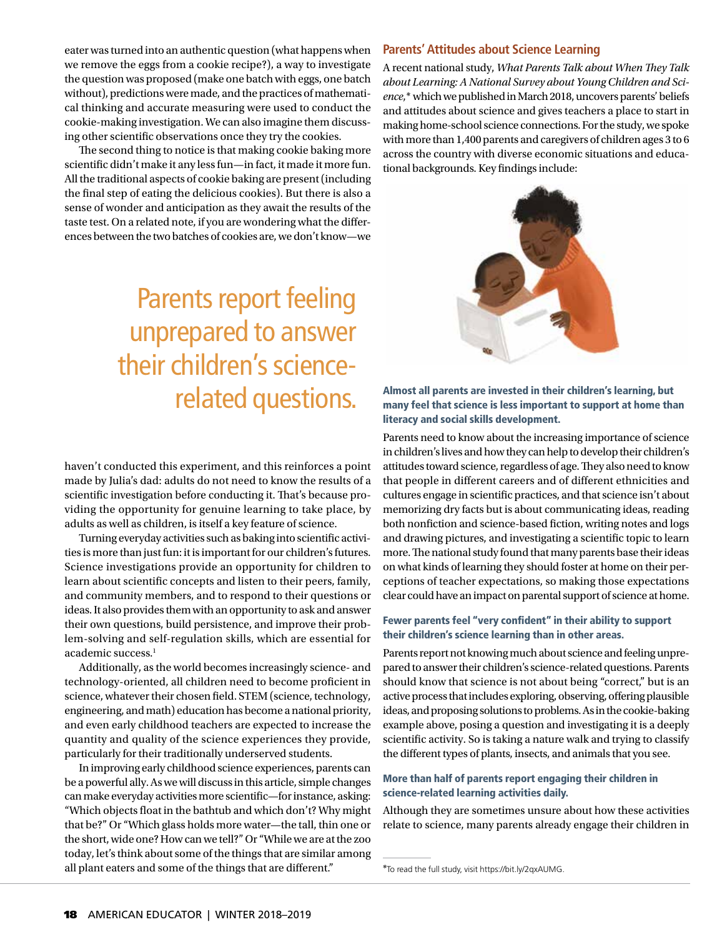eater was turned into an authentic question (what happens when we remove the eggs from a cookie recipe?), a way to investigate the question was proposed (make one batch with eggs, one batch without), predictions were made, and the practices of mathematical thinking and accurate measuring were used to conduct the cookie-making investigation. We can also imagine them discussing other scientific observations once they try the cookies.

The second thing to notice is that making cookie baking more scientific didn't make it any less fun—in fact, it made it more fun. All the traditional aspects of cookie baking are present (including the final step of eating the delicious cookies). But there is also a sense of wonder and anticipation as they await the results of the taste test. On a related note, if you are wondering what the differences between the two batches of cookies are, we don't know—we

# Parents report feeling unprepared to answer their children's sciencerelated questions.

haven't conducted this experiment, and this reinforces a point made by Julia's dad: adults do not need to know the results of a scientific investigation before conducting it. That's because providing the opportunity for genuine learning to take place, by adults as well as children, is itself a key feature of science.

Turning everyday activities such as baking into scientific activities is more than just fun: it is important for our children's futures. Science investigations provide an opportunity for children to learn about scientific concepts and listen to their peers, family, and community members, and to respond to their questions or ideas. It also provides them with an opportunity to ask and answer their own questions, build persistence, and improve their problem-solving and self-regulation skills, which are essential for academic success.<sup>1</sup>

Additionally, as the world becomes increasingly science- and technology-oriented, all children need to become proficient in science, whatever their chosen field. STEM (science, technology, engineering, and math) education has become a national priority, and even early childhood teachers are expected to increase the quantity and quality of the science experiences they provide, particularly for their traditionally underserved students.

In improving early childhood science experiences, parents can be a powerful ally. As we will discuss in this article, simple changes can make everyday activities more scientific—for instance, asking: "Which objects float in the bathtub and which don't? Why might that be?" Or "Which glass holds more water—the tall, thin one or the short, wide one? How can we tell?" Or "While we are at the zoo today, let's think about some of the things that are similar among all plant eaters and some of the things that are different."

#### **Parents' Attitudes about Science Learning**

A recent national study, *What Parents Talk about When They Talk about Learning: A National Survey about Young Children and Science*,*\** which we published in March 2018, uncovers parents' beliefs and attitudes about science and gives teachers a place to start in making home-school science connections. For the study, we spoke with more than 1,400 parents and caregivers of children ages 3 to 6 across the country with diverse economic situations and educational backgrounds. Key findings include:



Almost all parents are invested in their children's learning, but many feel that science is less important to support at home than literacy and social skills development.

Parents need to know about the increasing importance of science in children's lives and how they can help to develop their children's attitudes toward science, regardless of age. They also need to know that people in different careers and of different ethnicities and cultures engage in scientific practices, and that science isn't about memorizing dry facts but is about communicating ideas, reading both nonfiction and science-based fiction, writing notes and logs and drawing pictures, and investigating a scientific topic to learn more. The national study found that many parents base their ideas on what kinds of learning they should foster at home on their perceptions of teacher expectations, so making those expectations clear could have an impact on parental support of science at home.

#### Fewer parents feel "very confident" in their ability to support their children's science learning than in other areas.

Parents report not knowing much about science and feeling unprepared to answer their children's science-related questions. Parents should know that science is not about being "correct," but is an active process that includes exploring, observing, offering plausible ideas, and proposing solutions to problems. As in the cookie-baking example above, posing a question and investigating it is a deeply scientific activity. So is taking a nature walk and trying to classify the different types of plants, insects, and animals that you see.

#### More than half of parents report engaging their children in science-related learning activities daily.

Although they are sometimes unsure about how these activities relate to science, many parents already engage their children in

<sup>\*</sup>To read the full study, visit https://bit.ly/2qxAUMG.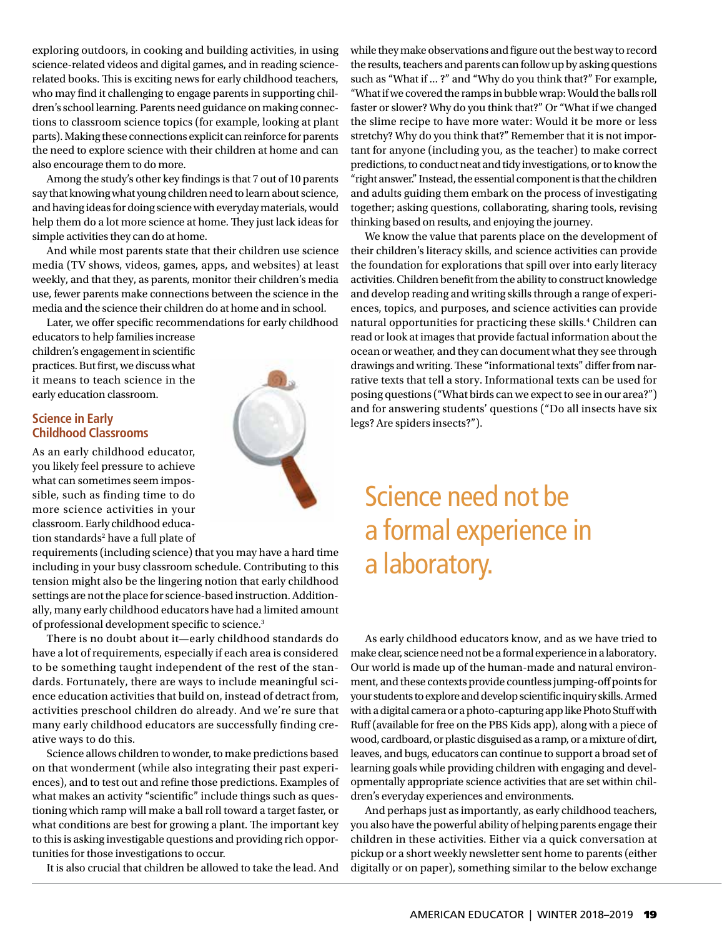exploring outdoors, in cooking and building activities, in using science-related videos and digital games, and in reading sciencerelated books. This is exciting news for early childhood teachers, who may find it challenging to engage parents in supporting children's school learning. Parents need guidance on making connections to classroom science topics (for example, looking at plant parts). Making these connections explicit can reinforce for parents the need to explore science with their children at home and can also encourage them to do more.

Among the study's other key findings is that 7 out of 10 parents say that knowing what young children need to learn about science, and having ideas for doing science with everyday materials, would help them do a lot more science at home. They just lack ideas for simple activities they can do at home.

And while most parents state that their children use science media (TV shows, videos, games, apps, and websites) at least weekly, and that they, as parents, monitor their children's media use, fewer parents make connections between the science in the media and the science their children do at home and in school.

Later, we offer specific recommendations for early childhood

educators to help families increase children's engagement in scientific practices. But first, we discuss what it means to teach science in the early education classroom.

### **Science in Early Childhood Classrooms**

As an early childhood educator, you likely feel pressure to achieve what can sometimes seem impossible, such as finding time to do more science activities in your classroom. Early childhood education standards<sup>2</sup> have a full plate of

requirements (including science) that you may have a hard time including in your busy classroom schedule. Contributing to this tension might also be the lingering notion that early childhood settings are not the place for science-based instruction. Additionally, many early childhood educators have had a limited amount of professional development specific to science.3

There is no doubt about it—early childhood standards do have a lot of requirements, especially if each area is considered to be something taught independent of the rest of the standards. Fortunately, there are ways to include meaningful science education activities that build on, instead of detract from, activities preschool children do already. And we're sure that many early childhood educators are successfully finding creative ways to do this.

Science allows children to wonder, to make predictions based on that wonderment (while also integrating their past experiences), and to test out and refine those predictions. Examples of what makes an activity "scientific" include things such as questioning which ramp will make a ball roll toward a target faster, or what conditions are best for growing a plant. The important key to this is asking investigable questions and providing rich opportunities for those investigations to occur.

It is also crucial that children be allowed to take the lead. And

while they make observations and figure out the best way to record the results, teachers and parents can follow up by asking questions such as "What if ... ?" and "Why do you think that?" For example, "What if we covered the ramps in bubble wrap: Would the balls roll faster or slower? Why do you think that?" Or "What if we changed the slime recipe to have more water: Would it be more or less stretchy? Why do you think that?" Remember that it is not important for anyone (including you, as the teacher) to make correct predictions, to conduct neat and tidy investigations, or to know the "right answer." Instead, the essential component is that the children and adults guiding them embark on the process of investigating together; asking questions, collaborating, sharing tools, revising thinking based on results, and enjoying the journey.

We know the value that parents place on the development of their children's literacy skills, and science activities can provide the foundation for explorations that spill over into early literacy activities. Children benefit from the ability to construct knowledge and develop reading and writing skills through a range of experiences, topics, and purposes, and science activities can provide natural opportunities for practicing these skills.4 Children can read or look at images that provide factual information about the ocean or weather, and they can document what they see through drawings and writing. These "informational texts" differ from narrative texts that tell a story. Informational texts can be used for posing questions ("What birds can we expect to see in our area?") and for answering students' questions ("Do all insects have six legs? Are spiders insects?").

# Science need not be a formal experience in a laboratory.

As early childhood educators know, and as we have tried to make clear, science need not be a formal experience in a laboratory. Our world is made up of the human-made and natural environment, and these contexts provide countless jumping-off points for your students to explore and develop scientific inquiry skills. Armed with a digital camera or a photo-capturing app like Photo Stuff with Ruff (available for free on the PBS Kids app), along with a piece of wood, cardboard, or plastic disguised as a ramp, or a mixture of dirt, leaves, and bugs, educators can continue to support a broad set of learning goals while providing children with engaging and developmentally appropriate science activities that are set within children's everyday experiences and environments.

And perhaps just as importantly, as early childhood teachers, you also have the powerful ability of helping parents engage their children in these activities. Either via a quick conversation at pickup or a short weekly newsletter sent home to parents (either digitally or on paper), something similar to the below exchange

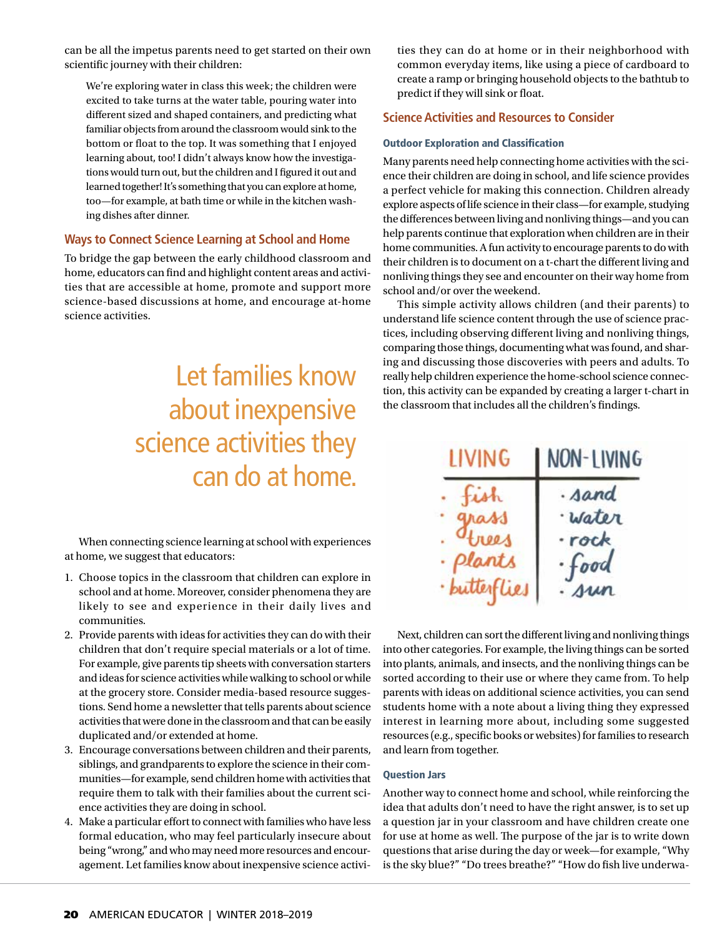can be all the impetus parents need to get started on their own scientific journey with their children:

We're exploring water in class this week; the children were excited to take turns at the water table, pouring water into different sized and shaped containers, and predicting what familiar objects from around the classroom would sink to the bottom or float to the top. It was something that I enjoyed learning about, too! I didn't always know how the investigations would turn out, but the children and I figured it out and learned together! It's something that you can explore at home, too—for example, at bath time or while in the kitchen washing dishes after dinner.

### **Ways to Connect Science Learning at School and Home**

To bridge the gap between the early childhood classroom and home, educators can find and highlight content areas and activities that are accessible at home, promote and support more science-based discussions at home, and encourage at-home science activities.

# Let families know about inexpensive science activities they can do at home.

When connecting science learning at school with experiences at home, we suggest that educators:

- 1. Choose topics in the classroom that children can explore in school and at home. Moreover, consider phenomena they are likely to see and experience in their daily lives and communities.
- 2. Provide parents with ideas for activities they can do with their children that don't require special materials or a lot of time. For example, give parents tip sheets with conversation starters and ideas for science activities while walking to school or while at the grocery store. Consider media-based resource suggestions. Send home a newsletter that tells parents about science activities that were done in the classroom and that can be easily duplicated and/or extended at home.
- 3. Encourage conversations between children and their parents, siblings, and grandparents to explore the science in their communities—for example, send children home with activities that require them to talk with their families about the current science activities they are doing in school.
- 4. Make a particular effort to connect with families who have less formal education, who may feel particularly insecure about being "wrong," and who may need more resources and encouragement. Let families know about inexpensive science activi-

ties they can do at home or in their neighborhood with common everyday items, like using a piece of cardboard to create a ramp or bringing household objects to the bathtub to predict if they will sink or float.

### **Science Activities and Resources to Consider**

#### Outdoor Exploration and Classification

Many parents need help connecting home activities with the science their children are doing in school, and life science provides a perfect vehicle for making this connection. Children already explore aspects of life science in their class—for example, studying the differences between living and nonliving things—and you can help parents continue that exploration when children are in their home communities. A fun activity to encourage parents to do with their children is to document on a t-chart the different living and nonliving things they see and encounter on their way home from school and/or over the weekend.

This simple activity allows children (and their parents) to understand life science content through the use of science practices, including observing different living and nonliving things, comparing those things, documenting what was found, and sharing and discussing those discoveries with peers and adults. To really help children experience the home-school science connection, this activity can be expanded by creating a larger t-chart in the classroom that includes all the children's findings.

| LIVING             | NON-LIVING     |
|--------------------|----------------|
|                    | · sand         |
| ass                | water          |
|                    | · rock         |
| Plants             | $\epsilon$ ood |
| <i>butterflies</i> | <i>sun</i>     |

Next, children can sort the different living and nonliving things into other categories. For example, the living things can be sorted into plants, animals, and insects, and the nonliving things can be sorted according to their use or where they came from. To help parents with ideas on additional science activities, you can send students home with a note about a living thing they expressed interest in learning more about, including some suggested resources (e.g., specific books or websites) for families to research and learn from together.

#### Question Jars

Another way to connect home and school, while reinforcing the idea that adults don't need to have the right answer, is to set up a question jar in your classroom and have children create one for use at home as well. The purpose of the jar is to write down questions that arise during the day or week—for example, "Why is the sky blue?" "Do trees breathe?" "How do fish live underwa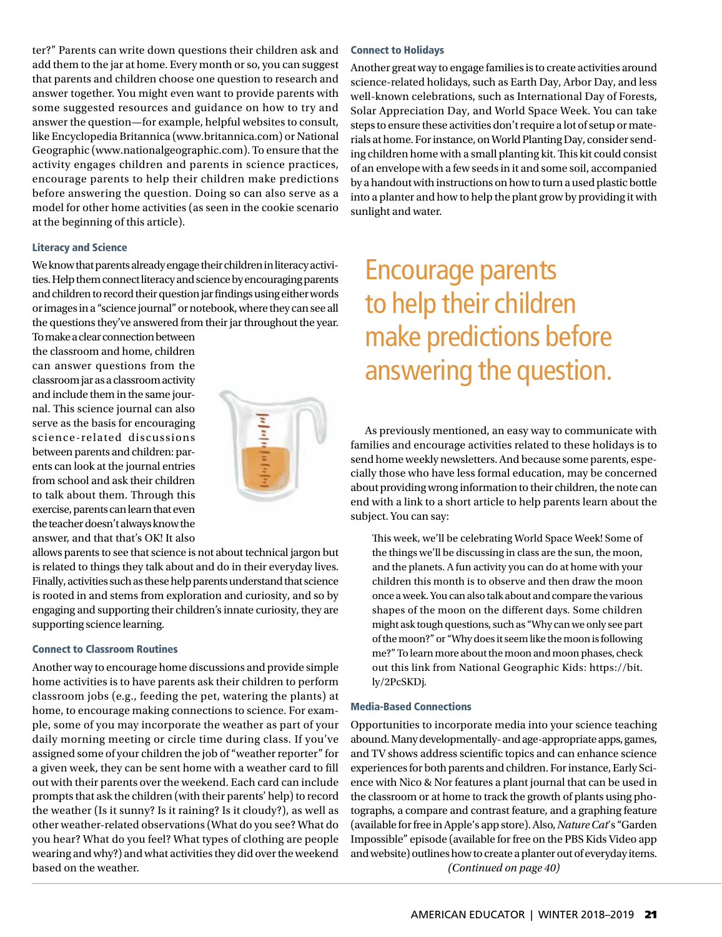ter?" Parents can write down questions their children ask and add them to the jar at home. Every month or so, you can suggest that parents and children choose one question to research and answer together. You might even want to provide parents with some suggested resources and guidance on how to try and answer the question—for example, helpful websites to consult, like Encyclopedia Britannica (www.britannica.com) or National Geographic (www.nationalgeographic.com). To ensure that the activity engages children and parents in science practices, encourage parents to help their children make predictions before answering the question. Doing so can also serve as a model for other home activities (as seen in the cookie scenario at the beginning of this article).

#### Literacy and Science

We know that parents already engage their children in literacy activities. Help them connect literacy and science by encouraging parents and children to record their question jar findings using either words or images in a "science journal" or notebook, where they can see all the questions they've answered from their jar throughout the year.

To make a clear connection between the classroom and home, children can answer questions from the classroom jar as a classroom activity and include them in the same journal. This science journal can also serve as the basis for encouraging science-related discussions between parents and children: parents can look at the journal entries from school and ask their children to talk about them. Through this exercise, parents can learn that even the teacher doesn't always know the answer, and that that's OK! It also



allows parents to see that science is not about technical jargon but is related to things they talk about and do in their everyday lives. Finally, activities such as these help parents understand that science is rooted in and stems from exploration and curiosity, and so by engaging and supporting their children's innate curiosity, they are supporting science learning.

#### Connect to Classroom Routines

Another way to encourage home discussions and provide simple home activities is to have parents ask their children to perform classroom jobs (e.g., feeding the pet, watering the plants) at home, to encourage making connections to science. For example, some of you may incorporate the weather as part of your daily morning meeting or circle time during class. If you've assigned some of your children the job of "weather reporter" for a given week, they can be sent home with a weather card to fill out with their parents over the weekend. Each card can include prompts that ask the children (with their parents' help) to record the weather (Is it sunny? Is it raining? Is it cloudy?), as well as other weather-related observations (What do you see? What do you hear? What do you feel? What types of clothing are people wearing and why?) and what activities they did over the weekend based on the weather.

#### Connect to Holidays

Another great way to engage families is to create activities around science-related holidays, such as Earth Day, Arbor Day, and less well-known celebrations, such as International Day of Forests, Solar Appreciation Day, and World Space Week. You can take steps to ensure these activities don't require a lot of setup or materials at home. For instance, on World Planting Day, consider sending children home with a small planting kit. This kit could consist of an envelope with a few seeds in it and some soil, accompanied by a handout with instructions on how to turn a used plastic bottle into a planter and how to help the plant grow by providing it with sunlight and water.

# Encourage parents to help their children make predictions before answering the question.

As previously mentioned, an easy way to communicate with families and encourage activities related to these holidays is to send home weekly newsletters. And because some parents, especially those who have less formal education, may be concerned about providing wrong information to their children, the note can end with a link to a short article to help parents learn about the subject. You can say:

This week, we'll be celebrating World Space Week! Some of the things we'll be discussing in class are the sun, the moon, and the planets. A fun activity you can do at home with your children this month is to observe and then draw the moon once a week. You can also talk about and compare the various shapes of the moon on the different days. Some children might ask tough questions, such as "Why can we only see part of the moon?" or "Why does it seem like the moon is following me?" To learn more about the moon and moon phases, check out this link from National Geographic Kids: https://bit. ly/2PcSKDj.

#### Media-Based Connections

Opportunities to incorporate media into your science teaching abound. Many developmentally- and age-appropriate apps, games, and TV shows address scientific topics and can enhance science experiences for both parents and children. For instance, Early Science with Nico & Nor features a plant journal that can be used in the classroom or at home to track the growth of plants using photographs, a compare and contrast feature, and a graphing feature (available for free in Apple's app store). Also, *Nature Cat*'s "Garden Impossible" episode (available for free on the PBS Kids Video app and website) outlines how to create a planter out of everyday items. *(Continued on page 40)*